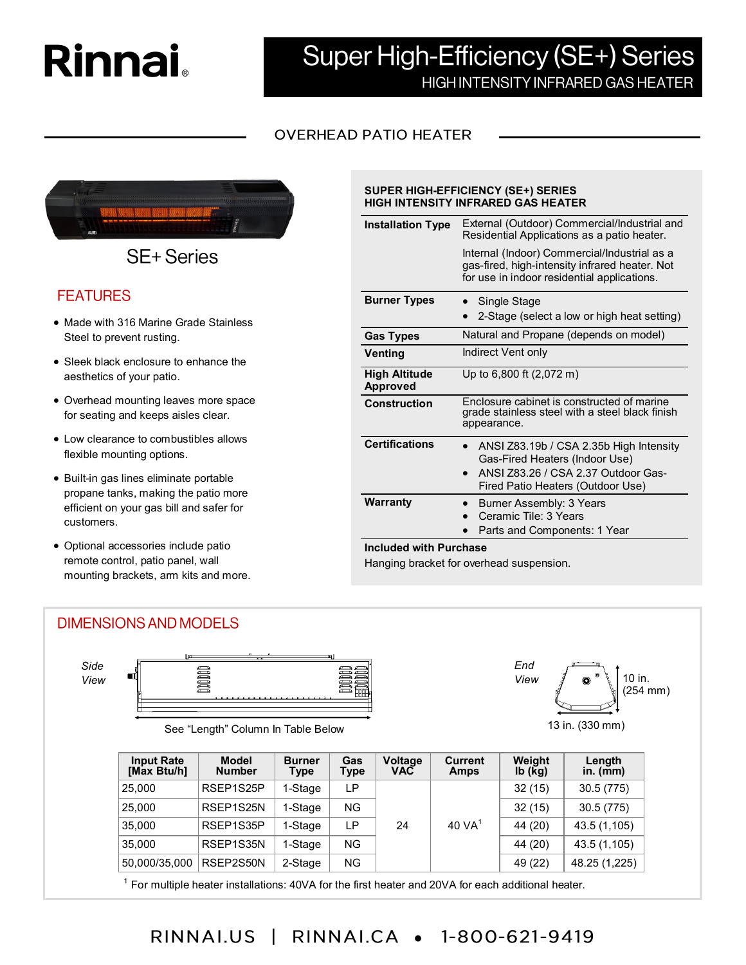# **Rinnai**

## Super High-Efficiency (SE+) Series HIGH INTENSITY INFRARED GAS HEATER

## **OVERHEAD PATIO HEATER**



**SE+Series** 

## **FEATURES**

- Made with 316 Marine Grade Stainless Steel to prevent rusting.
- Sleek black enclosure to enhance the aesthetics of your patio.
- Overhead mounting leaves more space for seating and keeps aisles clear.
- Low clearance to combustibles allows flexible mounting options.
- Built-in gas lines eliminate portable propane tanks, making the patio more efficient on your gas bill and safer for customers.
- Optional accessories include patio remote control, patio panel, wall mounting brackets, arm kits and more.

#### **Installation Type** External (Outdoor) Commercial/Industrial and Residential Applications as a patio heater.

**SUPER HIGH-EFFICIENCY (SE+) SERIES HIGH INTENSITY INFRARED GAS HEATER** 

| for use in indoor residential applications.                                                                                                           |
|-------------------------------------------------------------------------------------------------------------------------------------------------------|
| Single Stage<br>2-Stage (select a low or high heat setting)                                                                                           |
| Natural and Propane (depends on model)                                                                                                                |
| Indirect Vent only                                                                                                                                    |
| Up to 6,800 ft (2,072 m)                                                                                                                              |
| Enclosure cabinet is constructed of marine<br>grade stainless steel with a steel black finish<br>appearance.                                          |
| ANSI Z83.19b / CSA 2.35b High Intensity<br>Gas-Fired Heaters (Indoor Use)<br>ANSI Z83.26 / CSA 2.37 Outdoor Gas-<br>Fired Patio Heaters (Outdoor Use) |
| Burner Assembly: 3 Years<br>Ceramic Tile: 3 Years<br>Parts and Components: 1 Year                                                                     |
| <b>Included with Purchase</b>                                                                                                                         |

Hanging bracket for overhead suspension.

## **DIMENSIONS AND MODELS**

*Side View*



### 13 in. (330 mm) See "Length" Column In Table Below

| <b>Input Rate</b><br>[Max Btu/h] | <b>Model</b><br><b>Number</b> | <b>Burner</b><br>Type | Gas<br>Type | Voltage<br><b>VAC</b> | <b>Current</b><br><b>Amps</b> | Weight<br>$Ib$ ( $kg$ ) | Length<br>in. $(mm)$ |
|----------------------------------|-------------------------------|-----------------------|-------------|-----------------------|-------------------------------|-------------------------|----------------------|
| 25,000                           | RSEP1S25P                     | 1-Stage               | LР<br>ΝG    |                       |                               | 32(15)                  | 30.5 (775)           |
| 25,000                           | RSEP1S25N                     | 1-Stage               |             |                       |                               | 32(15)                  | 30.5(775)            |
| 35,000                           | RSEP1S35P                     | 1-Stage               | LP          | 24                    | $40\text{ VA}^1$              | 44 (20)                 | 43.5 (1,105)         |
| 35.000                           | RSEP1S35N                     | 1-Stage               | ΝG          |                       |                               | 44 (20)                 | 43.5 (1,105)         |
| 50,000/35,000                    | RSEP2S50N                     | 2-Stage               | NG.         |                       |                               | 49 (22)                 | 48.25 (1,225)        |

<sup>1</sup> For multiple heater installations: 40VA for the first heater and 20VA for each additional heater.